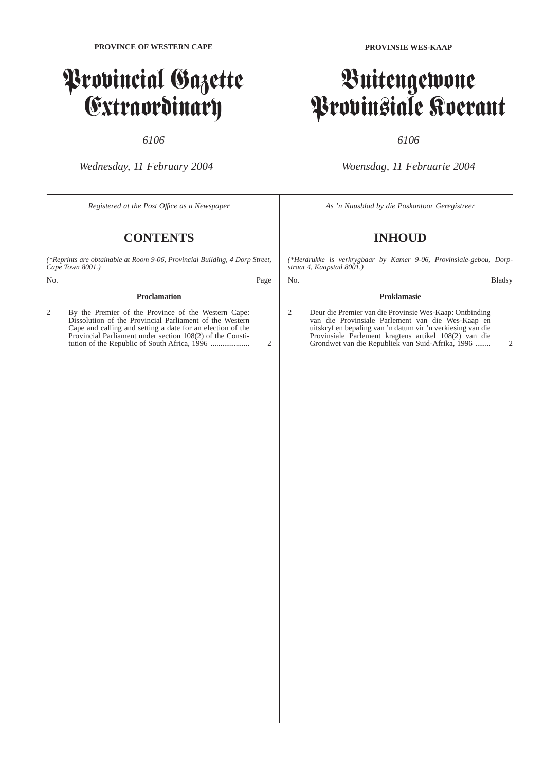# Provincial Gazette Extraordinary

# *6106*

*Wednesday, 11 February 2004*

*Registered at the Post Offıce as a Newspaper*

# **CONTENTS**

*(\*Reprints are obtainable at Room 9-06, Provincial Building, 4 Dorp Street, Cape Town 8001.)*

No. Page

#### **Proclamation**

2 By the Premier of the Province of the Western Cape: Dissolution of the Provincial Parliament of the Western Cape and calling and setting a date for an election of the Provincial Parliament under section 108(2) of the Constitution of the Republic of South Africa, 1996 .................... 2

# Buitengewone Provinsiale Koerant

# *6106*

*Woensdag, 11 Februarie 2004*

*As 'n Nuusblad by die Poskantoor Geregistreer*

# **INHOUD**

*(\*Herdrukke is verkrygbaar by Kamer 9-06, Provinsiale-gebou, Dorpstraat 4, Kaapstad 8001.)*

No. Bladsy

## **Proklamasie**

2 Deur die Premier van die Provinsie Wes-Kaap: Ontbinding van die Provinsiale Parlement van die Wes-Kaap en uitskryf en bepaling van 'n datum vir 'n verkiesing van die Provinsiale Parlement kragtens artikel 108(2) van die Grondwet van die Republiek van Suid-Afrika, 1996 ........ 2